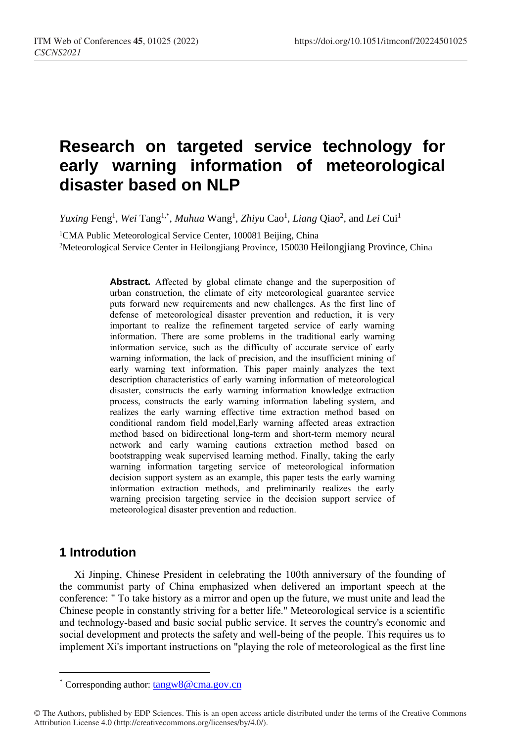# **Research on targeted service technology for early warning information of meteorological disaster based on NLP**

*Yuxing* Feng<sup>1</sup>, *Wei* Tang<sup>1,\*</sup>, *Muhua* Wang<sup>1</sup>, *Zhiyu* Cao<sup>1</sup>, *Liang* Qiao<sup>2</sup>, and *Lei* Cui<sup>1</sup>

<sup>1</sup>CMA Public Meteorological Service Center, 100081 Beijing, China <sup>2</sup>Meteorological Service Center in Heilongjiang Province, 150030 Heilongjiang Province, China

> **Abstract.** Affected by global climate change and the superposition of urban construction, the climate of city meteorological guarantee service puts forward new requirements and new challenges. As the first line of defense of meteorological disaster prevention and reduction, it is very important to realize the refinement targeted service of early warning information. There are some problems in the traditional early warning information service, such as the difficulty of accurate service of early warning information, the lack of precision, and the insufficient mining of early warning text information. This paper mainly analyzes the text description characteristics of early warning information of meteorological disaster, constructs the early warning information knowledge extraction process, constructs the early warning information labeling system, and realizes the early warning effective time extraction method based on conditional random field model,Early warning affected areas extraction method based on bidirectional long-term and short-term memory neural network and early warning cautions extraction method based on bootstrapping weak supervised learning method. Finally, taking the early warning information targeting service of meteorological information decision support system as an example, this paper tests the early warning information extraction methods, and preliminarily realizes the early warning precision targeting service in the decision support service of meteorological disaster prevention and reduction.

# **1 Introdution**

 $\overline{a}$ 

Xi Jinping, Chinese President in celebrating the 100th anniversary of the founding of the communist party of China emphasized when delivered an important speech at the conference: " To take history as a mirror and open up the future, we must unite and lead the Chinese people in constantly striving for a better life." Meteorological service is a scientific and technology-based and basic social public service. It serves the country's economic and social development and protects the safety and well-being of the people. This requires us to implement Xi's important instructions on "playing the role of meteorological as the first line

<sup>\*</sup> Corresponding author: tangw8@cma.gov.cn

<sup>©</sup> The Authors, published by EDP Sciences. This is an open access article distributed under the terms of the Creative Commons Attribution License 4.0 (http://creativecommons.org/licenses/by/4.0/).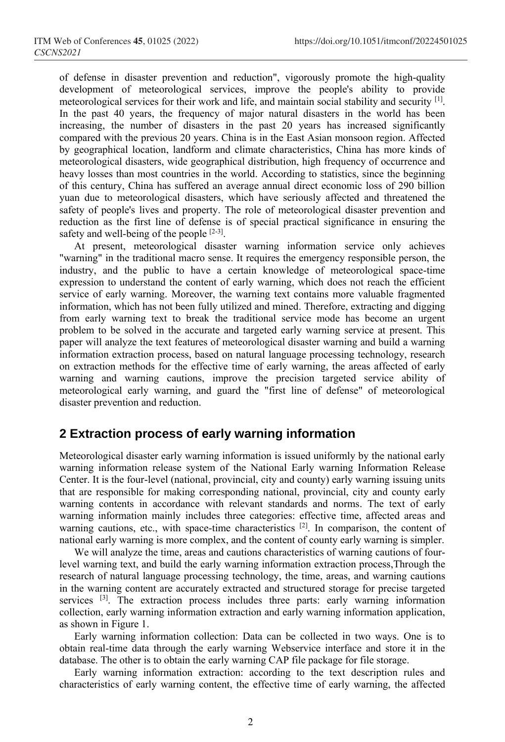of defense in disaster prevention and reduction", vigorously promote the high-quality development of meteorological services, improve the people's ability to provide meteorological services for their work and life, and maintain social stability and security [1] . In the past 40 years, the frequency of major natural disasters in the world has been increasing, the number of disasters in the past 20 years has increased significantly compared with the previous 20 years. China is in the East Asian monsoon region. Affected by geographical location, landform and climate characteristics, China has more kinds of meteorological disasters, wide geographical distribution, high frequency of occurrence and heavy losses than most countries in the world. According to statistics, since the beginning of this century, China has suffered an average annual direct economic loss of 290 billion yuan due to meteorological disasters, which have seriously affected and threatened the safety of people's lives and property. The role of meteorological disaster prevention and reduction as the first line of defense is of special practical significance in ensuring the safety and well-being of the people  $[2-3]$ .

At present, meteorological disaster warning information service only achieves "warning" in the traditional macro sense. It requires the emergency responsible person, the industry, and the public to have a certain knowledge of meteorological space-time expression to understand the content of early warning, which does not reach the efficient service of early warning. Moreover, the warning text contains more valuable fragmented information, which has not been fully utilized and mined. Therefore, extracting and digging from early warning text to break the traditional service mode has become an urgent problem to be solved in the accurate and targeted early warning service at present. This paper will analyze the text features of meteorological disaster warning and build a warning information extraction process, based on natural language processing technology, research on extraction methods for the effective time of early warning, the areas affected of early warning and warning cautions, improve the precision targeted service ability of meteorological early warning, and guard the "first line of defense" of meteorological disaster prevention and reduction.

### **2 Extraction process of early warning information**

Meteorological disaster early warning information is issued uniformly by the national early warning information release system of the National Early warning Information Release Center. It is the four-level (national, provincial, city and county) early warning issuing units that are responsible for making corresponding national, provincial, city and county early warning contents in accordance with relevant standards and norms. The text of early warning information mainly includes three categories: effective time, affected areas and warning cautions, etc., with space-time characteristics <sup>[2]</sup>. In comparison, the content of national early warning is more complex, and the content of county early warning is simpler.

We will analyze the time, areas and cautions characteristics of warning cautions of fourlevel warning text, and build the early warning information extraction process,Through the research of natural language processing technology, the time, areas, and warning cautions in the warning content are accurately extracted and structured storage for precise targeted services <sup>[3]</sup>. The extraction process includes three parts: early warning information collection, early warning information extraction and early warning information application, as shown in Figure 1.

Early warning information collection: Data can be collected in two ways. One is to obtain real-time data through the early warning Webservice interface and store it in the database. The other is to obtain the early warning CAP file package for file storage.

Early warning information extraction: according to the text description rules and characteristics of early warning content, the effective time of early warning, the affected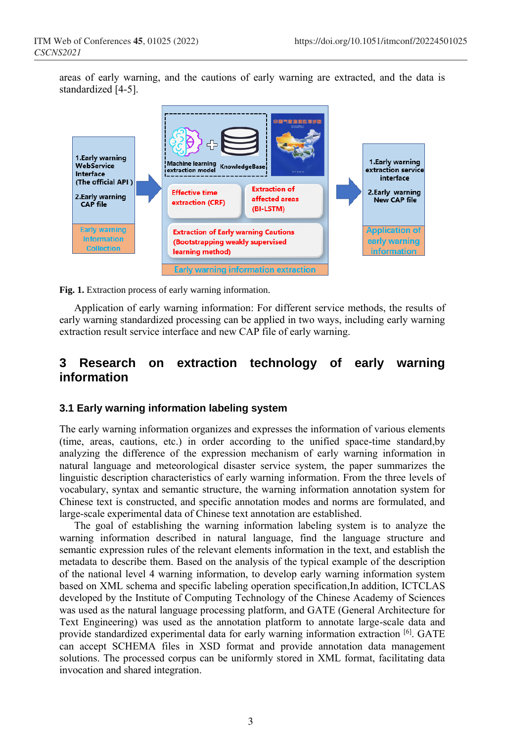areas of early warning, and the cautions of early warning are extracted, and the data is standardized [4-5].



**Fig. 1.** Extraction process of early warning information.

Application of early warning information: For different service methods, the results of early warning standardized processing can be applied in two ways, including early warning extraction result service interface and new CAP file of early warning.

### **3 Research on extraction technology of early warning information**

#### **3.1 Early warning information labeling system**

The early warning information organizes and expresses the information of various elements (time, areas, cautions, etc.) in order according to the unified space-time standard,by analyzing the difference of the expression mechanism of early warning information in natural language and meteorological disaster service system, the paper summarizes the linguistic description characteristics of early warning information. From the three levels of vocabulary, syntax and semantic structure, the warning information annotation system for Chinese text is constructed, and specific annotation modes and norms are formulated, and large-scale experimental data of Chinese text annotation are established.

The goal of establishing the warning information labeling system is to analyze the warning information described in natural language, find the language structure and semantic expression rules of the relevant elements information in the text, and establish the metadata to describe them. Based on the analysis of the typical example of the description of the national level 4 warning information, to develop early warning information system based on XML schema and specific labeling operation specification,In addition, ICTCLAS developed by the Institute of Computing Technology of the Chinese Academy of Sciences was used as the natural language processing platform, and GATE (General Architecture for Text Engineering) was used as the annotation platform to annotate large-scale data and provide standardized experimental data for early warning information extraction [6]. GATE can accept SCHEMA files in XSD format and provide annotation data management solutions. The processed corpus can be uniformly stored in XML format, facilitating data invocation and shared integration.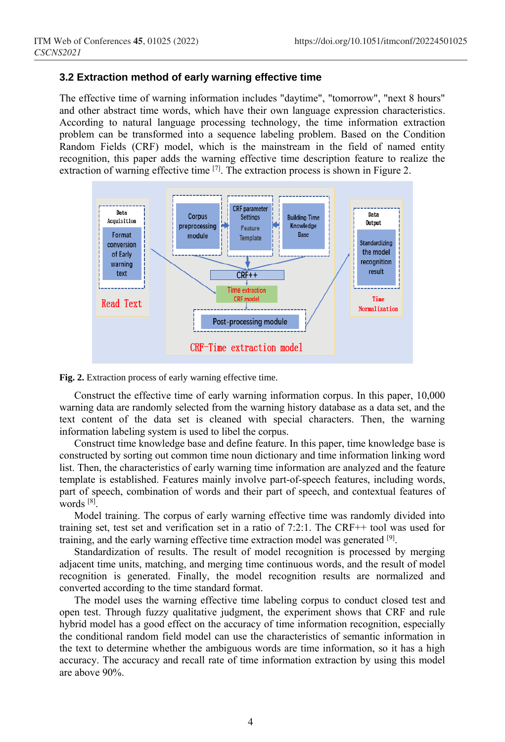#### **3.2 Extraction method of early warning effective time**

The effective time of warning information includes "daytime", "tomorrow", "next 8 hours" and other abstract time words, which have their own language expression characteristics. According to natural language processing technology, the time information extraction problem can be transformed into a sequence labeling problem. Based on the Condition Random Fields (CRF) model, which is the mainstream in the field of named entity recognition, this paper adds the warning effective time description feature to realize the extraction of warning effective time  $[7]$ . The extraction process is shown in Figure 2.



**Fig. 2.** Extraction process of early warning effective time.

Construct the effective time of early warning information corpus. In this paper, 10,000 warning data are randomly selected from the warning history database as a data set, and the text content of the data set is cleaned with special characters. Then, the warning information labeling system is used to libel the corpus.

Construct time knowledge base and define feature. In this paper, time knowledge base is constructed by sorting out common time noun dictionary and time information linking word list. Then, the characteristics of early warning time information are analyzed and the feature template is established. Features mainly involve part-of-speech features, including words, part of speech, combination of words and their part of speech, and contextual features of words [8] .

Model training. The corpus of early warning effective time was randomly divided into training set, test set and verification set in a ratio of 7:2:1. The CRF++ tool was used for training, and the early warning effective time extraction model was generated [9].

Standardization of results. The result of model recognition is processed by merging adjacent time units, matching, and merging time continuous words, and the result of model recognition is generated. Finally, the model recognition results are normalized and converted according to the time standard format.

The model uses the warning effective time labeling corpus to conduct closed test and open test. Through fuzzy qualitative judgment, the experiment shows that CRF and rule hybrid model has a good effect on the accuracy of time information recognition, especially the conditional random field model can use the characteristics of semantic information in the text to determine whether the ambiguous words are time information, so it has a high accuracy. The accuracy and recall rate of time information extraction by using this model are above 90%.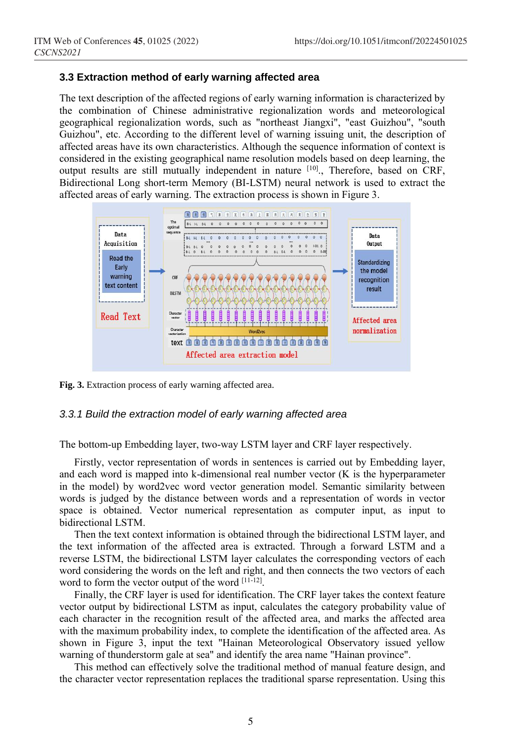#### **3.3 Extraction method of early warning affected area**

The text description of the affected regions of early warning information is characterized by the combination of Chinese administrative regionalization words and meteorological geographical regionalization words, such as "northeast Jiangxi", "east Guizhou", "south Guizhou", etc. According to the different level of warning issuing unit, the description of affected areas have its own characteristics. Although the sequence information of context is considered in the existing geographical name resolution models based on deep learning, the output results are still mutually independent in nature [10]., Therefore, based on CRF, Bidirectional Long short-term Memory (BI-LSTM) neural network is used to extract the affected areas of early warning. The extraction process is shown in Figure 3.



**Fig. 3.** Extraction process of early warning affected area.

#### *3.3.1 Build the extraction model of early warning affected area*

The bottom-up Embedding layer, two-way LSTM layer and CRF layer respectively.

Firstly, vector representation of words in sentences is carried out by Embedding layer, and each word is mapped into k-dimensional real number vector (K is the hyperparameter in the model) by word2vec word vector generation model. Semantic similarity between words is judged by the distance between words and a representation of words in vector space is obtained. Vector numerical representation as computer input, as input to bidirectional LSTM.

Then the text context information is obtained through the bidirectional LSTM layer, and the text information of the affected area is extracted. Through a forward LSTM and a reverse LSTM, the bidirectional LSTM layer calculates the corresponding vectors of each word considering the words on the left and right, and then connects the two vectors of each word to form the vector output of the word [11-12].

Finally, the CRF layer is used for identification. The CRF layer takes the context feature vector output by bidirectional LSTM as input, calculates the category probability value of each character in the recognition result of the affected area, and marks the affected area with the maximum probability index, to complete the identification of the affected area. As shown in Figure 3, input the text "Hainan Meteorological Observatory issued yellow warning of thunderstorm gale at sea" and identify the area name "Hainan province".

This method can effectively solve the traditional method of manual feature design, and the character vector representation replaces the traditional sparse representation. Using this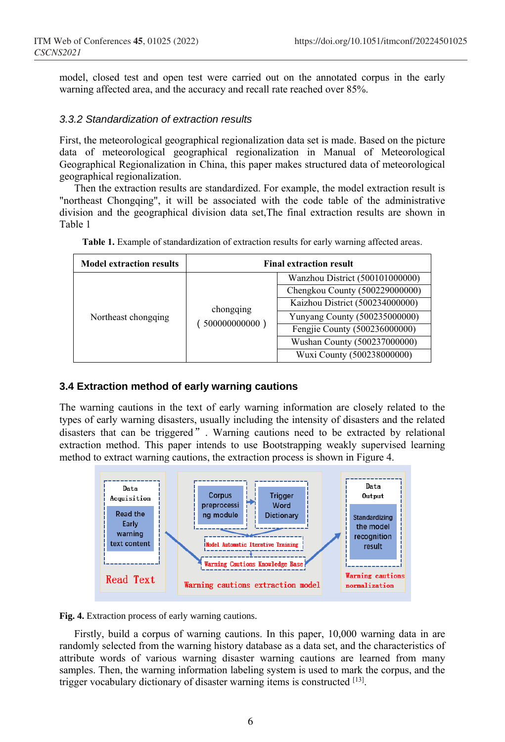model, closed test and open test were carried out on the annotated corpus in the early warning affected area, and the accuracy and recall rate reached over 85%.

#### *3.3.2 Standardization of extraction results*

First, the meteorological geographical regionalization data set is made. Based on the picture data of meteorological geographical regionalization in Manual of Meteorological Geographical Regionalization in China, this paper makes structured data of meteorological geographical regionalization.

Then the extraction results are standardized. For example, the model extraction result is "northeast Chongqing", it will be associated with the code table of the administrative division and the geographical division data set,The final extraction results are shown in Table 1

| <b>Model extraction results</b> | <b>Final extraction result</b> |                                 |  |
|---------------------------------|--------------------------------|---------------------------------|--|
| Northeast chongqing             | chongging<br>500000000000      | Wanzhou District (500101000000) |  |
|                                 |                                | Chengkou County (500229000000)  |  |
|                                 |                                | Kaizhou District (500234000000) |  |
|                                 |                                | Yunyang County (500235000000)   |  |
|                                 |                                | Fengjie County (500236000000)   |  |
|                                 |                                | Wushan County (500237000000)    |  |
|                                 |                                | Wuxi County (500238000000)      |  |

**Table 1.** Example of standardization of extraction results for early warning affected areas.

#### **3.4 Extraction method of early warning cautions**

The warning cautions in the text of early warning information are closely related to the types of early warning disasters, usually including the intensity of disasters and the related disasters that can be triggered". Warning cautions need to be extracted by relational extraction method. This paper intends to use Bootstrapping weakly supervised learning method to extract warning cautions, the extraction process is shown in Figure 4.



**Fig. 4.** Extraction process of early warning cautions.

Firstly, build a corpus of warning cautions. In this paper, 10,000 warning data in are randomly selected from the warning history database as a data set, and the characteristics of attribute words of various warning disaster warning cautions are learned from many samples. Then, the warning information labeling system is used to mark the corpus, and the trigger vocabulary dictionary of disaster warning items is constructed [13].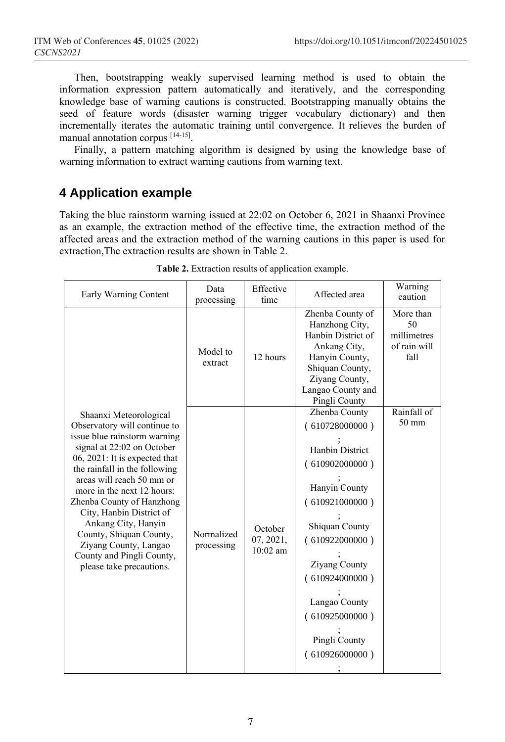Then, bootstrapping weakly supervised learning method is used to obtain the information expression pattern automatically and iteratively, and the corresponding knowledge base of warning cautions is constructed. Bootstrapping manually obtains the seed of feature words (disaster warning trigger vocabulary dictionary) and then incrementally iterates the automatic training until convergence. It relieves the burden of manual annotation corpus [14-15].

Finally, a pattern matching algorithm is designed by using the knowledge base of warning information to extract warning cautions from warning text.

# **4 Application example**

Taking the blue rainstorm warning issued at 22:02 on October 6, 2021 in Shaanxi Province as an example, the extraction method of the effective time, the extraction method of the affected areas and the extraction method of the warning cautions in this paper is used for extraction,The extraction results are shown in Table 2.

| Early Warning Content                                                                                                                                                                                                                                                                                                                                                                                                                          | Data<br>processing       | Effective<br>time                  | Affected area                                                                                                                                                                                                                                                      | Warning<br>caution                                     |
|------------------------------------------------------------------------------------------------------------------------------------------------------------------------------------------------------------------------------------------------------------------------------------------------------------------------------------------------------------------------------------------------------------------------------------------------|--------------------------|------------------------------------|--------------------------------------------------------------------------------------------------------------------------------------------------------------------------------------------------------------------------------------------------------------------|--------------------------------------------------------|
|                                                                                                                                                                                                                                                                                                                                                                                                                                                | Model to<br>extract      | 12 hours                           | Zhenba County of<br>Hanzhong City,<br>Hanbin District of<br>Ankang City,<br>Hanyin County,<br>Shiquan County,<br>Ziyang County,<br>Langao County and<br>Pingli County                                                                                              | More than<br>50<br>millimetres<br>of rain will<br>fall |
| Shaanxi Meteorological<br>Observatory will continue to<br>issue blue rainstorm warning<br>signal at 22:02 on October<br>06, 2021: It is expected that<br>the rainfall in the following<br>areas will reach 50 mm or<br>more in the next 12 hours:<br>Zhenba County of Hanzhong<br>City, Hanbin District of<br>Ankang City, Hanyin<br>County, Shiquan County,<br>Ziyang County, Langao<br>County and Pingli County,<br>please take precautions. | Normalized<br>processing | October<br>07, 2021,<br>$10:02$ am | Zhenba County<br>(610728000000)<br><b>Hanbin District</b><br>(610902000000)<br>Hanyin County<br>(610921000000)<br>Shiquan County<br>(610922000000)<br><b>Ziyang County</b><br>(610924000000)<br>Langao County<br>(610925000000)<br>Pingli County<br>(610926000000) | Rainfall of<br>50 mm                                   |

**Table 2.** Extraction results of application example.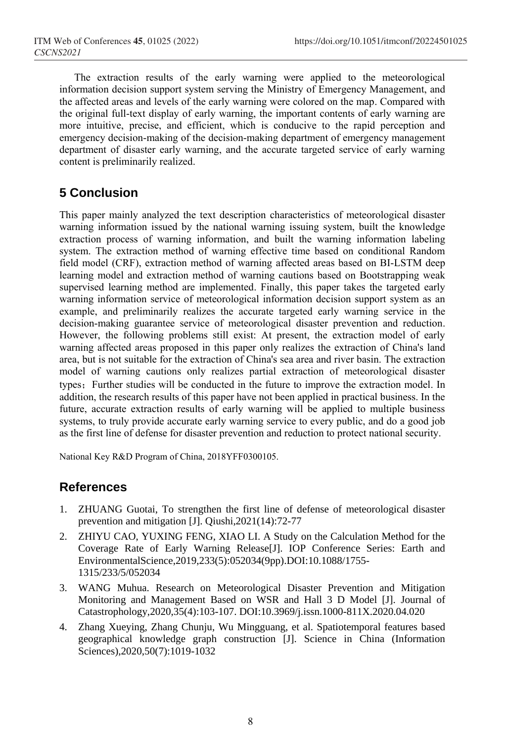The extraction results of the early warning were applied to the meteorological information decision support system serving the Ministry of Emergency Management, and the affected areas and levels of the early warning were colored on the map. Compared with the original full-text display of early warning, the important contents of early warning are more intuitive, precise, and efficient, which is conducive to the rapid perception and emergency decision-making of the decision-making department of emergency management department of disaster early warning, and the accurate targeted service of early warning content is preliminarily realized.

# **5 Conclusion**

This paper mainly analyzed the text description characteristics of meteorological disaster warning information issued by the national warning issuing system, built the knowledge extraction process of warning information, and built the warning information labeling system. The extraction method of warning effective time based on conditional Random field model (CRF), extraction method of warning affected areas based on BI-LSTM deep learning model and extraction method of warning cautions based on Bootstrapping weak supervised learning method are implemented. Finally, this paper takes the targeted early warning information service of meteorological information decision support system as an example, and preliminarily realizes the accurate targeted early warning service in the decision-making guarantee service of meteorological disaster prevention and reduction. However, the following problems still exist: At present, the extraction model of early warning affected areas proposed in this paper only realizes the extraction of China's land area, but is not suitable for the extraction of China's sea area and river basin. The extraction model of warning cautions only realizes partial extraction of meteorological disaster types; Further studies will be conducted in the future to improve the extraction model. In addition, the research results of this paper have not been applied in practical business. In the future, accurate extraction results of early warning will be applied to multiple business systems, to truly provide accurate early warning service to every public, and do a good job as the first line of defense for disaster prevention and reduction to protect national security.

National Key R&D Program of China, 2018YFF0300105.

# **References**

- 1. ZHUANG Guotai, To strengthen the first line of defense of meteorological disaster prevention and mitigation [J]. Qiushi,2021(14):72-77
- 2. ZHIYU CAO, YUXING FENG, XIAO LI. A Study on the Calculation Method for the Coverage Rate of Early Warning Release[J]. IOP Conference Series: Earth and EnvironmentalScience,2019,233(5):052034(9pp).DOI:10.1088/1755- 1315/233/5/052034
- 3. WANG Muhua. Research on Meteorological Disaster Prevention and Mitigation Monitoring and Management Based on WSR and Hall 3 D Model [J]. [Journal of](https://www.wanfangdata.com.cn/perio/detail.do?perio_id=zhx&perio_title=Journal%20of%20Catastrophology)  [Catastrophology,](https://www.wanfangdata.com.cn/perio/detail.do?perio_id=zhx&perio_title=Journal%20of%20Catastrophology)2020,35(4):103-107. DOI:10.3969/j.issn.1000-811X.2020.04.020
- 4. Zhang Xueying, Zhang Chunju, Wu Mingguang, et al. Spatiotemporal features based geographical knowledge graph construction [J]. [Science in China \(Information](https://www.wanfangdata.com.cn/perio/detail.do?perio_id=zgkx-fc&perio_title=Science%20in%20China(Information%20Sciences))  [Sciences\),](https://www.wanfangdata.com.cn/perio/detail.do?perio_id=zgkx-fc&perio_title=Science%20in%20China(Information%20Sciences))2020,50(7):1019-1032